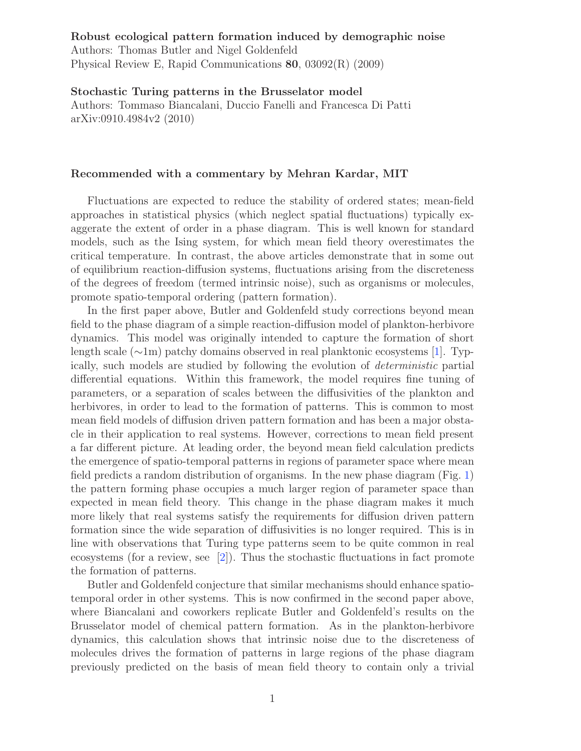## Robust ecological pattern formation induced by demographic noise Authors: Thomas Butler and Nigel Goldenfeld Physical Review E, Rapid Communications 80, 03092(R) (2009)

Stochastic Turing patterns in the Brusselator model Authors: Tommaso Biancalani, Duccio Fanelli and Francesca Di Patti arXiv:0910.4984v2 (2010)

## Recommended with a commentary by Mehran Kardar, MIT

Fluctuations are expected to reduce the stability of ordered states; mean-field approaches in statistical physics (which neglect spatial fluctuations) typically exaggerate the extent of order in a phase diagram. This is well known for standard models, such as the Ising system, for which mean field theory overestimates the critical temperature. In contrast, the above articles demonstrate that in some out of equilibrium reaction-diffusion systems, fluctuations arising from the discreteness of the degrees of freedom (termed intrinsic noise), such as organisms or molecules, promote spatio-temporal ordering (pattern formation).

In the first paper above, Butler and Goldenfeld study corrections beyond mean field to the phase diagram of a simple reaction-diffusion model of plankton-herbivore dynamics. This model was originally intended to capture the formation of short length scale (∼1m) patchy domains observed in real planktonic ecosystems [\[1\]](#page-1-1). Typically, such models are studied by following the evolution of deterministic partial differential equations. Within this framework, the model requires fine tuning of parameters, or a separation of scales between the diffusivities of the plankton and herbivores, in order to lead to the formation of patterns. This is common to most mean field models of diffusion driven pattern formation and has been a major obstacle in their application to real systems. However, corrections to mean field present a far different picture. At leading order, the beyond mean field calculation predicts the emergence of spatio-temporal patterns in regions of parameter space where mean field predicts a random distribution of organisms. In the new phase diagram (Fig. [1\)](#page-1-2) the pattern forming phase occupies a much larger region of parameter space than expected in mean field theory. This change in the phase diagram makes it much more likely that real systems satisfy the requirements for diffusion driven pattern formation since the wide separation of diffusivities is no longer required. This is in line with observations that Turing type patterns seem to be quite common in real ecosystems (for a review, see [\[2\]](#page-1-0)). Thus the stochastic fluctuations in fact promote the formation of patterns.

Butler and Goldenfeld conjecture that similar mechanisms should enhance spatiotemporal order in other systems. This is now confirmed in the second paper above, where Biancalani and coworkers replicate Butler and Goldenfeld's results on the Brusselator model of chemical pattern formation. As in the plankton-herbivore dynamics, this calculation shows that intrinsic noise due to the discreteness of molecules drives the formation of patterns in large regions of the phase diagram previously predicted on the basis of mean field theory to contain only a trivial